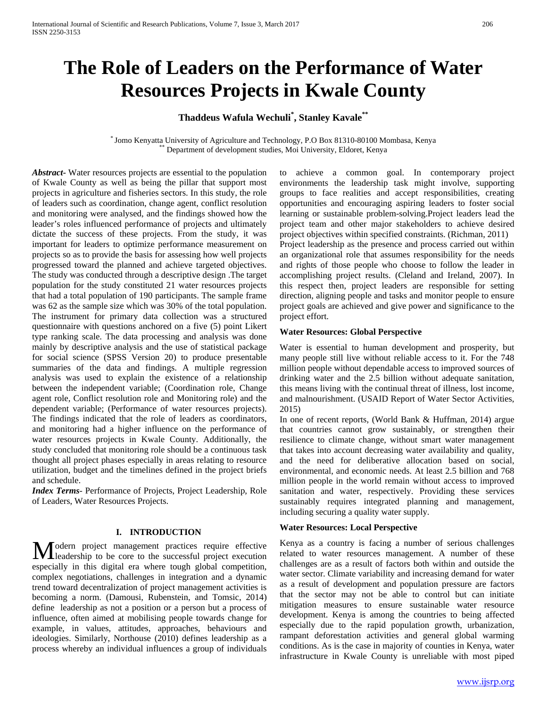# **The Role of Leaders on the Performance of Water Resources Projects in Kwale County**

# **Thaddeus Wafula Wechuli\* , Stanley Kavale\*\***

\* Jomo Kenyatta University of Agriculture and Technology, P.O Box 81310-80100 Mombasa, Kenya \*\* Department of development studies, Moi University, Eldoret, Kenya

*Abstract***-** Water resources projects are essential to the population of Kwale County as well as being the pillar that support most projects in agriculture and fisheries sectors. In this study, the role of leaders such as coordination, change agent, conflict resolution and monitoring were analysed, and the findings showed how the leader's roles influenced performance of projects and ultimately dictate the success of these projects. From the study, it was important for leaders to optimize performance measurement on projects so as to provide the basis for assessing how well projects progressed toward the planned and achieve targeted objectives. The study was conducted through a descriptive design .The target population for the study constituted 21 water resources projects that had a total population of 190 participants. The sample frame was 62 as the sample size which was 30% of the total population. The instrument for primary data collection was a structured questionnaire with questions anchored on a five (5) point Likert type ranking scale. The data processing and analysis was done mainly by descriptive analysis and the use of statistical package for social science (SPSS Version 20) to produce presentable summaries of the data and findings. A multiple regression analysis was used to explain the existence of a relationship between the independent variable; (Coordination role, Change agent role, Conflict resolution role and Monitoring role) and the dependent variable; (Performance of water resources projects). The findings indicated that the role of leaders as coordinators, and monitoring had a higher influence on the performance of water resources projects in Kwale County. Additionally, the study concluded that monitoring role should be a continuous task thought all project phases especially in areas relating to resource utilization, budget and the timelines defined in the project briefs and schedule.

*Index Terms*- Performance of Projects, Project Leadership, Role of Leaders, Water Resources Projects.

#### **I. INTRODUCTION**

**T** odern project management practices require effective Modern project management practices require effective<br>
leadership to be core to the successful project execution especially in this digital era where tough global competition, complex negotiations, challenges in integration and a dynamic trend toward decentralization of project management activities is becoming a norm. (Damousi, Rubenstein, and Tomsic, 2014) define leadership as not a position or a person but a process of influence, often aimed at mobilising people towards change for example, in values, attitudes, approaches, behaviours and ideologies. Similarly, Northouse (2010) defines leadership as a process whereby an individual influences a group of individuals

to achieve a common goal. In contemporary project environments the leadership task might involve, supporting groups to face realities and accept responsibilities, creating opportunities and encouraging aspiring leaders to foster social learning or sustainable problem-solving.Project leaders lead the project team and other major stakeholders to achieve desired project objectives within specified constraints. (Richman, 2011) Project leadership as the presence and process carried out within

an organizational role that assumes responsibility for the needs and rights of those people who choose to follow the leader in accomplishing project results. (Cleland and Ireland, 2007). In this respect then, project leaders are responsible for setting direction, aligning people and tasks and monitor people to ensure project goals are achieved and give power and significance to the project effort.

#### **Water Resources: Global Perspective**

Water is essential to human development and prosperity, but many people still live without reliable access to it. For the 748 million people without dependable access to improved sources of drinking water and the 2.5 billion without adequate sanitation, this means living with the continual threat of illness, lost income, and malnourishment. (USAID Report of Water Sector Activities, 2015)

In one of recent reports, (World Bank & Huffman, 2014) argue that countries cannot grow sustainably, or strengthen their resilience to climate change, without smart water management that takes into account decreasing water availability and quality, and the need for deliberative allocation based on social, environmental, and economic needs. At least 2.5 billion and 768 million people in the world remain without access to improved sanitation and water, respectively. Providing these services sustainably requires integrated planning and management, including securing a quality water supply.

#### **Water Resources: Local Perspective**

Kenya as a country is facing a number of serious challenges related to water resources management. A number of these challenges are as a result of factors both within and outside the water sector. Climate variability and increasing demand for water as a result of development and population pressure are factors that the sector may not be able to control but can initiate mitigation measures to ensure sustainable water resource development. Kenya is among the countries to being affected especially due to the rapid population growth, urbanization, rampant deforestation activities and general global warming conditions. As is the case in majority of counties in Kenya, water infrastructure in Kwale County is unreliable with most piped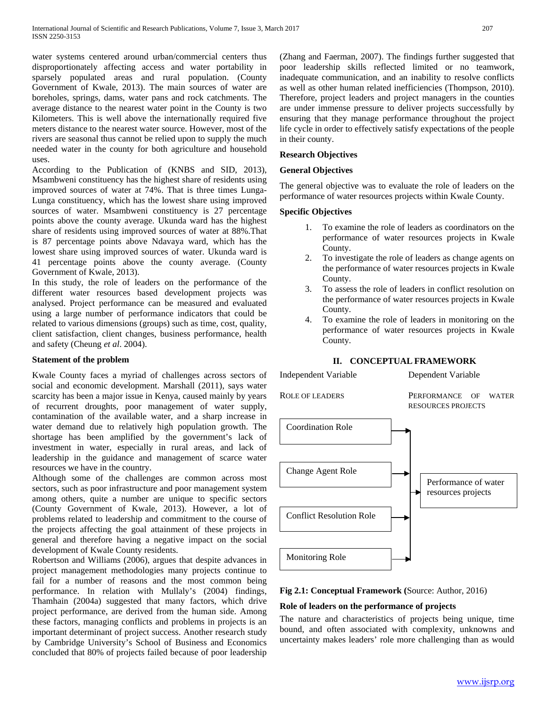water systems centered around urban/commercial centers thus disproportionately affecting access and water portability in sparsely populated areas and rural population. (County Government of Kwale, 2013). The main sources of water are boreholes, springs, dams, water pans and rock catchments. The average distance to the nearest water point in the County is two Kilometers. This is well above the internationally required five meters distance to the nearest water source. However, most of the rivers are seasonal thus cannot be relied upon to supply the much needed water in the county for both agriculture and household uses.

According to the Publication of (KNBS and SID, 2013), Msambweni constituency has the highest share of residents using improved sources of water at 74%. That is three times Lunga-Lunga constituency, which has the lowest share using improved sources of water. Msambweni constituency is 27 percentage points above the county average. Ukunda ward has the highest share of residents using improved sources of water at 88%.That is 87 percentage points above Ndavaya ward, which has the lowest share using improved sources of water. Ukunda ward is 41 percentage points above the county average. (County Government of Kwale, 2013).

In this study, the role of leaders on the performance of the different water resources based development projects was analysed. Project performance can be measured and evaluated using a large number of performance indicators that could be related to various dimensions (groups) such as time, cost, quality, client satisfaction, client changes, business performance, health and safety (Cheung *et al*. 2004).

#### **Statement of the problem**

Kwale County faces a myriad of challenges across sectors of social and economic development. Marshall (2011), says water scarcity has been a major issue in Kenya, caused mainly by years of recurrent droughts, poor management of water supply, contamination of the available water, and a sharp increase in water demand due to relatively high population growth. The shortage has been amplified by the government's lack of investment in water, especially in rural areas, and lack of leadership in the guidance and management of scarce water resources we have in the country.

Although some of the challenges are common across most sectors, such as poor infrastructure and poor management system among others, quite a number are unique to specific sectors (County Government of Kwale, 2013). However, a lot of problems related to leadership and commitment to the course of the projects affecting the goal attainment of these projects in general and therefore having a negative impact on the social development of Kwale County residents.

Robertson and Williams (2006), argues that despite advances in project management methodologies many projects continue to fail for a number of reasons and the most common being performance. In relation with Mullaly's (2004) findings, Thamhain (2004a) suggested that many factors, which drive project performance, are derived from the human side. Among these factors, managing conflicts and problems in projects is an important determinant of project success. Another research study by Cambridge University's School of Business and Economics concluded that 80% of projects failed because of poor leadership

(Zhang and Faerman, 2007). The findings further suggested that poor leadership skills reflected limited or no teamwork, inadequate communication, and an inability to resolve conflicts as well as other human related inefficiencies (Thompson, 2010). Therefore, project leaders and project managers in the counties are under immense pressure to deliver projects successfully by ensuring that they manage performance throughout the project life cycle in order to effectively satisfy expectations of the people in their county.

#### **Research Objectives**

#### **General Objectives**

The general objective was to evaluate the role of leaders on the performance of water resources projects within Kwale County.

#### **Specific Objectives**

- 1. To examine the role of leaders as coordinators on the performance of water resources projects in Kwale County.
- 2. To investigate the role of leaders as change agents on the performance of water resources projects in Kwale County.
- 3. To assess the role of leaders in conflict resolution on the performance of water resources projects in Kwale County.
- 4. To examine the role of leaders in monitoring on the performance of water resources projects in Kwale County.

# **II. CONCEPTUAL FRAMEWORK**

Independent Variable Dependent Variable

ROLE OF LEADERS PERFORMANCE OF WATER RESOURCES PROJECTS



#### **Fig 2.1: Conceptual Framework (**Source: Author, 2016)

# **Role of leaders on the performance of projects**

The nature and characteristics of projects being unique, time bound, and often associated with complexity, unknowns and uncertainty makes leaders' role more challenging than as would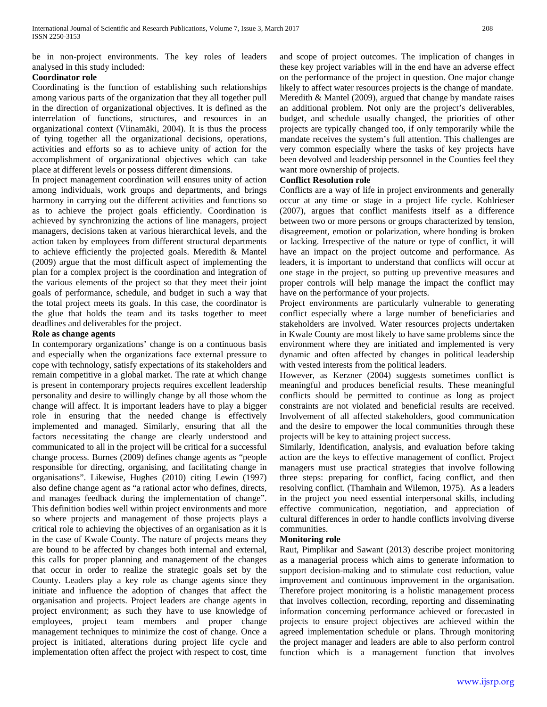be in non-project environments. The key roles of leaders analysed in this study included:

## **Coordinator role**

Coordinating is the function of establishing such relationships among various parts of the organization that they all together pull in the direction of organizational objectives. It is defined as the interrelation of functions, structures, and resources in an organizational context (Viinamäki, 2004). It is thus the process of tying together all the organizational decisions, operations, activities and efforts so as to achieve unity of action for the accomplishment of organizational objectives which can take place at different levels or possess different dimensions.

In project management coordination will ensures unity of action among individuals, work groups and departments, and brings harmony in carrying out the different activities and functions so as to achieve the project goals efficiently. Coordination is achieved by synchronizing the actions of line managers, project managers, decisions taken at various hierarchical levels, and the action taken by employees from different structural departments to achieve efficiently the projected goals. Meredith & Mantel (2009) argue that the most difficult aspect of implementing the plan for a complex project is the coordination and integration of the various elements of the project so that they meet their joint goals of performance, schedule, and budget in such a way that the total project meets its goals. In this case, the coordinator is the glue that holds the team and its tasks together to meet deadlines and deliverables for the project.

## **Role as change agents**

In contemporary organizations' change is on a continuous basis and especially when the organizations face external pressure to cope with technology, satisfy expectations of its stakeholders and remain competitive in a global market. The rate at which change is present in contemporary projects requires excellent leadership personality and desire to willingly change by all those whom the change will affect. It is important leaders have to play a bigger role in ensuring that the needed change is effectively implemented and managed. Similarly, ensuring that all the factors necessitating the change are clearly understood and communicated to all in the project will be critical for a successful change process. Burnes (2009) defines change agents as "people responsible for directing, organising, and facilitating change in organisations". Likewise, Hughes (2010) citing Lewin (1997) also define change agent as "a rational actor who defines, directs, and manages feedback during the implementation of change". This definition bodies well within project environments and more so where projects and management of those projects plays a critical role to achieving the objectives of an organisation as it is in the case of Kwale County. The nature of projects means they are bound to be affected by changes both internal and external, this calls for proper planning and management of the changes that occur in order to realize the strategic goals set by the County. Leaders play a key role as change agents since they initiate and influence the adoption of changes that affect the organisation and projects. Project leaders are change agents in project environment; as such they have to use knowledge of employees, project team members and proper change management techniques to minimize the cost of change. Once a project is initiated, alterations during project life cycle and implementation often affect the project with respect to cost, time and scope of project outcomes. The implication of changes in these key project variables will in the end have an adverse effect on the performance of the project in question. One major change likely to affect water resources projects is the change of mandate. Meredith & Mantel (2009), argued that change by mandate raises an additional problem. Not only are the project's deliverables, budget, and schedule usually changed, the priorities of other projects are typically changed too, if only temporarily while the mandate receives the system's full attention. This challenges are very common especially where the tasks of key projects have been devolved and leadership personnel in the Counties feel they want more ownership of projects.

## **Conflict Resolution role**

Conflicts are a way of life in project environments and generally occur at any time or stage in a project life cycle. Kohlrieser (2007), argues that conflict manifests itself as a difference between two or more persons or groups characterized by tension, disagreement, emotion or polarization, where bonding is broken or lacking. Irrespective of the nature or type of conflict, it will have an impact on the project outcome and performance. As leaders, it is important to understand that conflicts will occur at one stage in the project, so putting up preventive measures and proper controls will help manage the impact the conflict may have on the performance of your projects.

Project environments are particularly vulnerable to generating conflict especially where a large number of beneficiaries and stakeholders are involved. Water resources projects undertaken in Kwale County are most likely to have same problems since the environment where they are initiated and implemented is very dynamic and often affected by changes in political leadership with vested interests from the political leaders.

However, as Kerzner (2004) suggests sometimes conflict is meaningful and produces beneficial results. These meaningful conflicts should be permitted to continue as long as project constraints are not violated and beneficial results are received. Involvement of all affected stakeholders, good communication and the desire to empower the local communities through these projects will be key to attaining project success.

Similarly, Identification, analysis, and evaluation before taking action are the keys to effective management of conflict. Project managers must use practical strategies that involve following three steps: preparing for conflict, facing conflict, and then resolving conflict. (Thamhain and Wilemon, 1975). As a leaders in the project you need essential interpersonal skills, including effective communication, negotiation, and appreciation of cultural differences in order to handle conflicts involving diverse communities.

# **Monitoring role**

Raut, Pimplikar and Sawant (2013) describe project monitoring as a managerial process which aims to generate information to support decision-making and to stimulate cost reduction, value improvement and continuous improvement in the organisation. Therefore project monitoring is a holistic management process that involves collection, recording, reporting and disseminating information concerning performance achieved or forecasted in projects to ensure project objectives are achieved within the agreed implementation schedule or plans. Through monitoring the project manager and leaders are able to also perform control function which is a management function that involves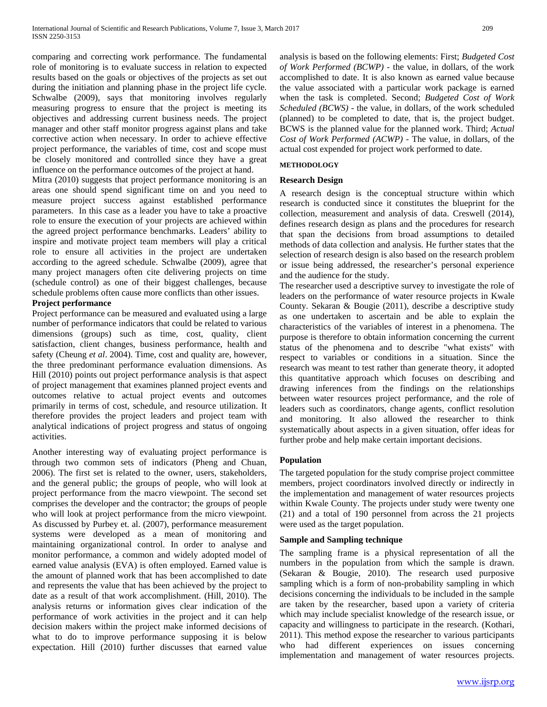comparing and correcting work performance. The fundamental role of monitoring is to evaluate success in relation to expected results based on the goals or objectives of the projects as set out during the initiation and planning phase in the project life cycle. Schwalbe (2009), says that monitoring involves regularly measuring progress to ensure that the project is meeting its objectives and addressing current business needs. The project manager and other staff monitor progress against plans and take corrective action when necessary. In order to achieve effective project performance, the variables of time, cost and scope must be closely monitored and controlled since they have a great influence on the performance outcomes of the project at hand.

Mitra (2010) suggests that project performance monitoring is an areas one should spend significant time on and you need to measure project success against established performance parameters. In this case as a leader you have to take a proactive role to ensure the execution of your projects are achieved within the agreed project performance benchmarks. Leaders' ability to inspire and motivate project team members will play a critical role to ensure all activities in the project are undertaken according to the agreed schedule. Schwalbe (2009), agree that many project managers often cite delivering projects on time (schedule control) as one of their biggest challenges, because schedule problems often cause more conflicts than other issues.

#### **Project performance**

Project performance can be measured and evaluated using a large number of performance indicators that could be related to various dimensions (groups) such as time, cost, quality, client satisfaction, client changes, business performance, health and safety (Cheung *et al*. 2004). Time, cost and quality are, however, the three predominant performance evaluation dimensions. As Hill (2010) points out project performance analysis is that aspect of project management that examines planned project events and outcomes relative to actual project events and outcomes primarily in terms of cost, schedule, and resource utilization. It therefore provides the project leaders and project team with analytical indications of project progress and status of ongoing activities.

Another interesting way of evaluating project performance is through two common sets of indicators (Pheng and Chuan, 2006). The first set is related to the owner, users, stakeholders, and the general public; the groups of people, who will look at project performance from the macro viewpoint. The second set comprises the developer and the contractor; the groups of people who will look at project performance from the micro viewpoint. As discussed by Purbey et. al. (2007), performance measurement systems were developed as a mean of monitoring and maintaining organizational control. In order to analyse and monitor performance, a common and widely adopted model of earned value analysis (EVA) is often employed. Earned value is the amount of planned work that has been accomplished to date and represents the value that has been achieved by the project to date as a result of that work accomplishment. (Hill, 2010). The analysis returns or information gives clear indication of the performance of work activities in the project and it can help decision makers within the project make informed decisions of what to do to improve performance supposing it is below expectation. Hill (2010) further discusses that earned value analysis is based on the following elements: First; *Budgeted Cost of Work Performed (BCWP)* - the value, in dollars, of the work accomplished to date. It is also known as earned value because the value associated with a particular work package is earned when the task is completed. Second; *Budgeted Cost of Work Scheduled (BCWS)* - the value, in dollars, of the work scheduled (planned) to be completed to date, that is, the project budget. BCWS is the planned value for the planned work. Third; *Actual Cost of Work Performed (ACWP) -* The value, in dollars, of the actual cost expended for project work performed to date.

#### **METHODOLOGY**

#### **Research Design**

A research design is the conceptual structure within which research is conducted since it constitutes the blueprint for the collection, measurement and analysis of data. Creswell (2014), defines research design as plans and the procedures for research that span the decisions from broad assumptions to detailed methods of data collection and analysis. He further states that the selection of research design is also based on the research problem or issue being addressed, the researcher's personal experience and the audience for the study.

The researcher used a descriptive survey to investigate the role of leaders on the performance of water resource projects in Kwale County. Sekaran & Bougie (2011), describe a descriptive study as one undertaken to ascertain and be able to explain the characteristics of the variables of interest in a phenomena. The purpose is therefore to obtain information concerning the current status of the phenomena and to describe "what exists" with respect to variables or conditions in a situation. Since the research was meant to test rather than generate theory, it adopted this quantitative approach which focuses on describing and drawing inferences from the findings on the relationships between water resources project performance, and the role of leaders such as coordinators, change agents, conflict resolution and monitoring. It also allowed the researcher to think systematically about aspects in a given situation, offer ideas for further probe and help make certain important decisions.

#### **Population**

The targeted population for the study comprise project committee members, project coordinators involved directly or indirectly in the implementation and management of water resources projects within Kwale County. The projects under study were twenty one (21) and a total of 190 personnel from across the 21 projects were used as the target population.

#### **Sample and Sampling technique**

The sampling frame is a physical representation of all the numbers in the population from which the sample is drawn. (Sekaran & Bougie, 2010). The research used purposive sampling which is a form of non-probability sampling in which decisions concerning the individuals to be included in the sample are taken by the researcher, based upon a variety of criteria which may include specialist knowledge of the research issue, or capacity and willingness to participate in the research. (Kothari, 2011). This method expose the researcher to various participants who had different experiences on issues concerning implementation and management of water resources projects.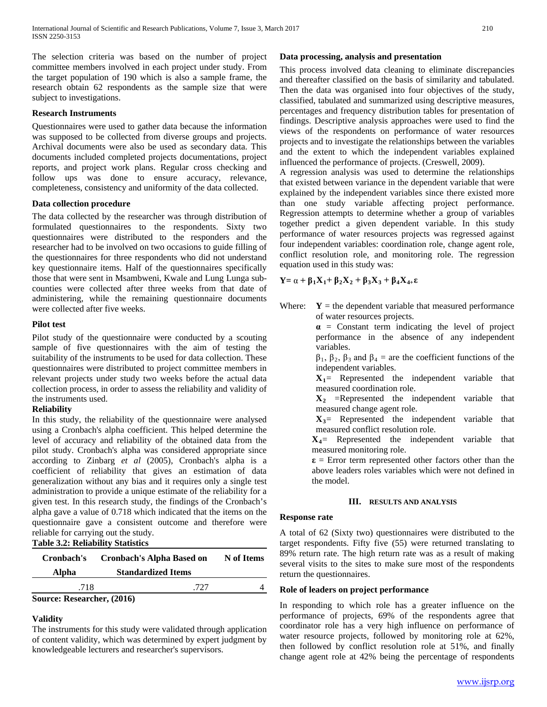The selection criteria was based on the number of project committee members involved in each project under study. From the target population of 190 which is also a sample frame, the research obtain 62 respondents as the sample size that were subject to investigations.

#### **Research Instruments**

Questionnaires were used to gather data because the information was supposed to be collected from diverse groups and projects. Archival documents were also be used as secondary data. This documents included completed projects documentations, project reports, and project work plans. Regular cross checking and follow ups was done to ensure accuracy, relevance, completeness, consistency and uniformity of the data collected.

#### **Data collection procedure**

The data collected by the researcher was through distribution of formulated questionnaires to the respondents. Sixty two questionnaires were distributed to the responders and the researcher had to be involved on two occasions to guide filling of the questionnaires for three respondents who did not understand key questionnaire items. Half of the questionnaires specifically those that were sent in Msambweni, Kwale and Lung Lunga subcounties were collected after three weeks from that date of administering, while the remaining questionnaire documents were collected after five weeks.

## **Pilot test**

Pilot study of the questionnaire were conducted by a scouting sample of five questionnaires with the aim of testing the suitability of the instruments to be used for data collection. These questionnaires were distributed to project committee members in relevant projects under study two weeks before the actual data collection process, in order to assess the reliability and validity of the instruments used.

#### **Reliability**

In this study, the reliability of the questionnaire were analysed using a Cronbach's alpha coefficient. This helped determine the level of accuracy and reliability of the obtained data from the pilot study. Cronbach's alpha was considered appropriate since according to Zinbarg *et al* (2005), Cronbach's alpha is a coefficient of reliability that gives an estimation of data generalization without any bias and it requires only a single test administration to provide a unique estimate of the reliability for a given test. In this research study, the findings of the Cronbach's alpha gave a value of 0.718 which indicated that the items on the questionnaire gave a consistent outcome and therefore were reliable for carrying out the study. **Table 3.2: Reliability Statistics**

| Cronbach's                 | Cronbach's Alpha Based on | N of Items |  |  |  |  |
|----------------------------|---------------------------|------------|--|--|--|--|
| Alpha                      | <b>Standardized Items</b> |            |  |  |  |  |
| .718                       | 727                       |            |  |  |  |  |
| Source: Researcher, (2016) |                           |            |  |  |  |  |

# **Validity**

The instruments for this study were validated through application of content validity, which was determined by expert judgment by knowledgeable lecturers and researcher's supervisors.

## **Data processing, analysis and presentation**

This process involved data cleaning to eliminate discrepancies and thereafter classified on the basis of similarity and tabulated. Then the data was organised into four objectives of the study, classified, tabulated and summarized using descriptive measures, percentages and frequency distribution tables for presentation of findings. Descriptive analysis approaches were used to find the views of the respondents on performance of water resources projects and to investigate the relationships between the variables and the extent to which the independent variables explained influenced the performance of projects. (Creswell, 2009).

A regression analysis was used to determine the relationships that existed between variance in the dependent variable that were explained by the independent variables since there existed more than one study variable affecting project performance. Regression attempts to determine whether a group of variables together predict a given dependent variable. In this study performance of water resources projects was regressed against four independent variables: coordination role, change agent role, conflict resolution role, and monitoring role. The regression equation used in this study was:

$$
Y = \alpha + \beta_1 X_1 + \beta_2 X_2 + \beta_3 X_3 + \beta_4 X_{4+} \epsilon
$$

Where:  $Y =$  the dependent variable that measured performance of water resources projects.

**α** = Constant term indicating the level of project performance in the absence of any independent variables.

 $β_1$ ,  $β_2$ ,  $β_3$  and  $β_4$  = are the coefficient functions of the independent variables.

**X1**= Represented the independent variable that measured coordination role.

 $X_2$  =Represented the independent variable that measured change agent role.

 $X_3$ = Represented the independent variable that measured conflict resolution role.

**X4**= Represented the independent variable that measured monitoring role.

**ε** = Error term represented other factors other than the above leaders roles variables which were not defined in the model.

#### **III. RESULTS AND ANALYSIS**

#### **Response rate**

A total of 62 (Sixty two) questionnaires were distributed to the target respondents. Fifty five (55) were returned translating to 89% return rate. The high return rate was as a result of making several visits to the sites to make sure most of the respondents return the questionnaires.

#### **Role of leaders on project performance**

In responding to which role has a greater influence on the performance of projects, 69% of the respondents agree that coordinator role has a very high influence on performance of water resource projects, followed by monitoring role at 62%, then followed by conflict resolution role at 51%, and finally change agent role at 42% being the percentage of respondents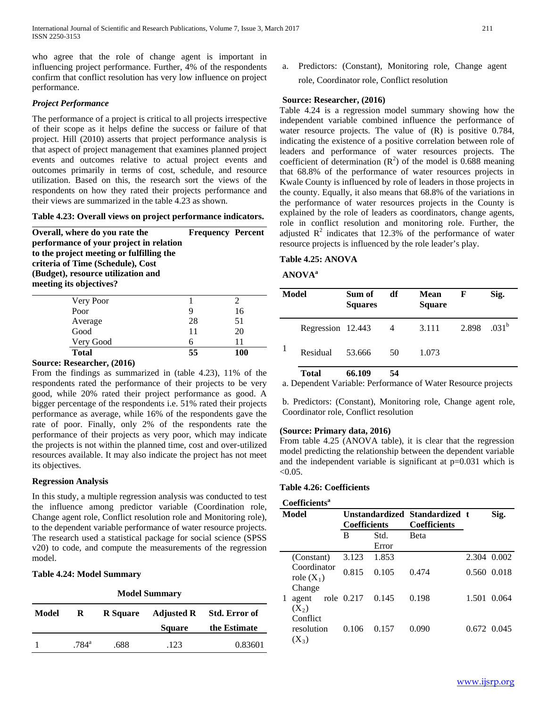who agree that the role of change agent is important in influencing project performance. Further, 4% of the respondents confirm that conflict resolution has very low influence on project performance.

## *Project Performance*

The performance of a project is critical to all projects irrespective of their scope as it helps define the success or failure of that project. Hill (2010) asserts that project performance analysis is that aspect of project management that examines planned project events and outcomes relative to actual project events and outcomes primarily in terms of cost, schedule, and resource utilization. Based on this, the research sort the views of the respondents on how they rated their projects performance and their views are summarized in the table 4.23 as shown.

**Table 4.23: Overall views on project performance indicators.**

**Overall, where do you rate the performance of your project in relation to the project meeting or fulfilling the criteria of Time (Schedule), Cost (Budget), resource utilization and meeting its objectives? Frequency Percent**

| <b>Total</b> | 55 | 100 |
|--------------|----|-----|
| Very Good    |    |     |
| Good         | 11 | 20  |
| Average      | 28 | 51  |
| Poor         |    | 16  |
| Very Poor    |    |     |

#### **Source: Researcher, (2016)**

From the findings as summarized in (table 4.23), 11% of the respondents rated the performance of their projects to be very good, while 20% rated their project performance as good. A bigger percentage of the respondents i.e. 51% rated their projects performance as average, while 16% of the respondents gave the rate of poor. Finally, only 2% of the respondents rate the performance of their projects as very poor, which may indicate the projects is not within the planned time, cost and over-utilized resources available. It may also indicate the project has not meet its objectives.

## **Regression Analysis**

In this study, a multiple regression analysis was conducted to test the influence among predictor variable (Coordination role, Change agent role, Conflict resolution role and Monitoring role), to the dependent variable performance of water resource projects. The research used a statistical package for social science (SPSS v20) to code, and compute the measurements of the regression model.

# **Table 4.24: Model Summary**

| <b>Model Summary</b> |                |                 |                   |                      |  |  |  |
|----------------------|----------------|-----------------|-------------------|----------------------|--|--|--|
| Model                | R              | <b>R</b> Square | <b>Adjusted R</b> | <b>Std. Error of</b> |  |  |  |
|                      |                |                 | <b>Square</b>     | the Estimate         |  |  |  |
|                      | $.784^{\rm a}$ | .688            | .123              | 0.83601              |  |  |  |

a. Predictors: (Constant), Monitoring role, Change agent role, Coordinator role, Conflict resolution

## **Source: Researcher, (2016)**

Table 4.24 is a regression model summary showing how the independent variable combined influence the performance of water resource projects. The value of  $(R)$  is positive 0.784, indicating the existence of a positive correlation between role of leaders and performance of water resources projects. The coefficient of determination  $(R^2)$  of the model is 0.688 meaning that 68.8% of the performance of water resources projects in Kwale County is influenced by role of leaders in those projects in the county. Equally, it also means that 68.8% of the variations in the performance of water resources projects in the County is explained by the role of leaders as coordinators, change agents, role in conflict resolution and monitoring role. Further, the adjusted  $\mathbb{R}^2$  indicates that 12.3% of the performance of water resource projects is influenced by the role leader's play.

# **Table 4.25: ANOVA**

## **ANOVAa**

| Model |                   | Sum of<br><b>Squares</b> | df | Mean<br><b>Square</b> | F     | Sig.              |  |
|-------|-------------------|--------------------------|----|-----------------------|-------|-------------------|--|
|       | Regression 12.443 |                          | 4  | 3.111                 | 2.898 | .031 <sup>b</sup> |  |
|       | Residual          | 53.666                   | 50 | 1.073                 |       |                   |  |
|       | <b>Total</b>      | 66.109                   | 54 |                       |       |                   |  |

a. Dependent Variable: Performance of Water Resource projects

b. Predictors: (Constant), Monitoring role, Change agent role, Coordinator role, Conflict resolution

#### **(Source: Primary data, 2016)**

From table 4.25 (ANOVA table), it is clear that the regression model predicting the relationship between the dependent variable and the independent variable is significant at p=0.031 which is  $< 0.05$ .

#### **Table 4.26: Coefficients**

#### **Coefficientsa**

| Model |                                       | Unstandardized Standardized t<br><b>Coefficients</b> |               | <b>Coefficients</b> |               | Sig. |  |
|-------|---------------------------------------|------------------------------------------------------|---------------|---------------------|---------------|------|--|
|       |                                       | B                                                    | Std.<br>Error | <b>B</b> eta        |               |      |  |
|       | (Constant)                            | 3.123                                                | 1.853         |                     | 2.304 0.002   |      |  |
|       | Coordinator<br>role $(X_1)$<br>Change | 0.815                                                | 0.105         | 0.474               | 0.560 0.018   |      |  |
|       | agent<br>$(X_2)$<br>Conflict          | role 0.217                                           | 0.145         | 0.198               | 1.501 0.064   |      |  |
|       | resolution<br>$(X_3)$                 | 0.106                                                | 0.157         | 0.090               | $0.672$ 0.045 |      |  |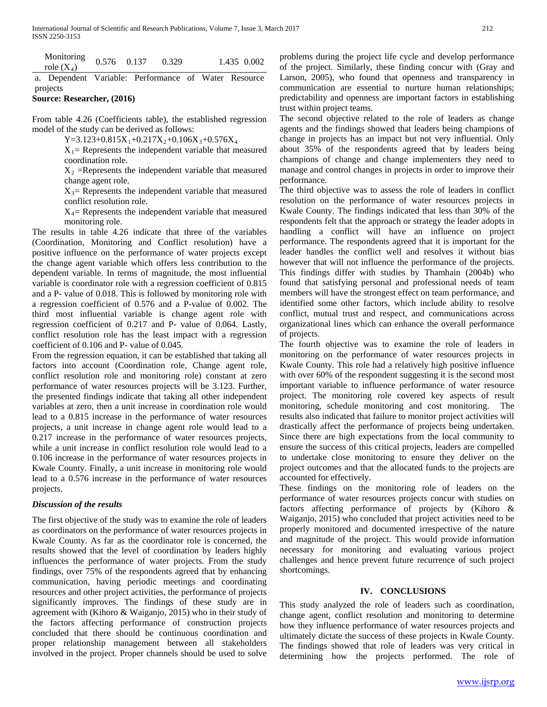| Monitoring<br>role $(X_4)$                           | 0.576 0.137 | 0.329 |  | 1.435 0.002 |
|------------------------------------------------------|-------------|-------|--|-------------|
| a. Dependent Variable: Performance of Water Resource |             |       |  |             |

projects **Source: Researcher, (2016)**

From table 4.26 (Coefficients table), the established regression model of the study can be derived as follows:

Y=3.123+0.815X<sub>1</sub>+0.217X<sub>2</sub>+0.106X<sub>3</sub>+0.576X<sub>4</sub>

 $X_1$  = Represents the independent variable that measured coordination role.

 $X_2$  =Represents the independent variable that measured change agent role.

 $X_3$  Represents the independent variable that measured conflict resolution role.

 $X_4$ = Represents the independent variable that measured monitoring role.

The results in table 4.26 indicate that three of the variables (Coordination, Monitoring and Conflict resolution) have a positive influence on the performance of water projects except the change agent variable which offers less contribution to the dependent variable. In terms of magnitude, the most influential variable is coordinator role with a regression coefficient of 0.815 and a P- value of 0.018. This is followed by monitoring role with a regression coefficient of 0.576 and a P-value of 0.002. The third most influential variable is change agent role with regression coefficient of 0.217 and P- value of 0.064. Lastly, conflict resolution role has the least impact with a regression coefficient of 0.106 and P- value of 0.045.

From the regression equation, it can be established that taking all factors into account (Coordination role, Change agent role, conflict resolution role and monitoring role) constant at zero performance of water resources projects will be 3.123. Further, the presented findings indicate that taking all other independent variables at zero, then a unit increase in coordination role would lead to a 0.815 increase in the performance of water resources projects, a unit increase in change agent role would lead to a 0.217 increase in the performance of water resources projects, while a unit increase in conflict resolution role would lead to a 0.106 increase in the performance of water resources projects in Kwale County. Finally, a unit increase in monitoring role would lead to a 0.576 increase in the performance of water resources projects.

# *Discussion of the results*

The first objective of the study was to examine the role of leaders as coordinators on the performance of water resources projects in Kwale County. As far as the coordinator role is concerned, the results showed that the level of coordination by leaders highly influences the performance of water projects. From the study findings, over 75% of the respondents agreed that by enhancing communication, having periodic meetings and coordinating resources and other project activities, the performance of projects significantly improves. The findings of these study are in agreement with (Kihoro & Waiganjo, 2015) who in their study of the factors affecting performance of construction projects concluded that there should be continuous coordination and proper relationship management between all stakeholders involved in the project. Proper channels should be used to solve problems during the project life cycle and develop performance of the project. Similarly, these finding concur with (Gray and Larson, 2005), who found that openness and transparency in communication are essential to nurture human relationships; predictability and openness are important factors in establishing trust within project teams.

The second objective related to the role of leaders as change agents and the findings showed that leaders being champions of change in projects has an impact but not very influential. Only about 35% of the respondents agreed that by leaders being champions of change and change implementers they need to manage and control changes in projects in order to improve their performance.

The third objective was to assess the role of leaders in conflict resolution on the performance of water resources projects in Kwale County. The findings indicated that less than 30% of the respondents felt that the approach or strategy the leader adopts in handling a conflict will have an influence on project performance. The respondents agreed that it is important for the leader handles the conflict well and resolves it without bias however that will not influence the performance of the projects. This findings differ with studies by Thamhain (2004b) who found that satisfying personal and professional needs of team members will have the strongest effect on team performance, and identified some other factors, which include ability to resolve conflict, mutual trust and respect, and communications across organizational lines which can enhance the overall performance of projects.

The fourth objective was to examine the role of leaders in monitoring on the performance of water resources projects in Kwale County. This role had a relatively high positive influence with over 60% of the respondent suggesting it is the second most important variable to influence performance of water resource project. The monitoring role covered key aspects of result monitoring, schedule monitoring and cost monitoring. The results also indicated that failure to monitor project activities will drastically affect the performance of projects being undertaken. Since there are high expectations from the local community to ensure the success of this critical projects, leaders are compelled to undertake close monitoring to ensure they deliver on the project outcomes and that the allocated funds to the projects are accounted for effectively.

These findings on the monitoring role of leaders on the performance of water resources projects concur with studies on factors affecting performance of projects by (Kihoro & Waiganjo, 2015) who concluded that project activities need to be properly monitored and documented irrespective of the nature and magnitude of the project. This would provide information necessary for monitoring and evaluating various project challenges and hence prevent future recurrence of such project shortcomings.

# **IV. CONCLUSIONS**

This study analyzed the role of leaders such as coordination, change agent, conflict resolution and monitoring to determine how they influence performance of water resources projects and ultimately dictate the success of these projects in Kwale County. The findings showed that role of leaders was very critical in determining how the projects performed. The role of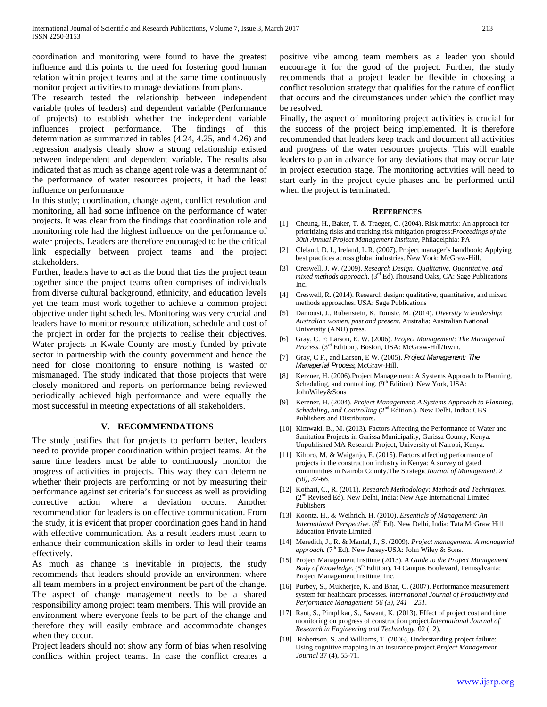coordination and monitoring were found to have the greatest influence and this points to the need for fostering good human relation within project teams and at the same time continuously monitor project activities to manage deviations from plans.

The research tested the relationship between independent variable (roles of leaders) and dependent variable (Performance of projects) to establish whether the independent variable influences project performance. The findings of this determination as summarized in tables (4.24, 4.25, and 4.26) and regression analysis clearly show a strong relationship existed between independent and dependent variable. The results also indicated that as much as change agent role was a determinant of the performance of water resources projects, it had the least influence on performance

In this study; coordination, change agent, conflict resolution and monitoring, all had some influence on the performance of water projects. It was clear from the findings that coordination role and monitoring role had the highest influence on the performance of water projects. Leaders are therefore encouraged to be the critical link especially between project teams and the project stakeholders.

Further, leaders have to act as the bond that ties the project team together since the project teams often comprises of individuals from diverse cultural background, ethnicity, and education levels yet the team must work together to achieve a common project objective under tight schedules. Monitoring was very crucial and leaders have to monitor resource utilization, schedule and cost of the project in order for the projects to realise their objectives. Water projects in Kwale County are mostly funded by private sector in partnership with the county government and hence the need for close monitoring to ensure nothing is wasted or mismanaged. The study indicated that those projects that were closely monitored and reports on performance being reviewed periodically achieved high performance and were equally the most successful in meeting expectations of all stakeholders.

#### **V. RECOMMENDATIONS**

The study justifies that for projects to perform better, leaders need to provide proper coordination within project teams. At the same time leaders must be able to continuously monitor the progress of activities in projects. This way they can determine whether their projects are performing or not by measuring their performance against set criteria's for success as well as providing corrective action where a deviation occurs. Another recommendation for leaders is on effective communication. From the study, it is evident that proper coordination goes hand in hand with effective communication. As a result leaders must learn to enhance their communication skills in order to lead their teams effectively.

As much as change is inevitable in projects, the study recommends that leaders should provide an environment where all team members in a project environment be part of the change. The aspect of change management needs to be a shared responsibility among project team members. This will provide an environment where everyone feels to be part of the change and therefore they will easily embrace and accommodate changes when they occur.

Project leaders should not show any form of bias when resolving conflicts within project teams. In case the conflict creates a positive vibe among team members as a leader you should encourage it for the good of the project. Further, the study recommends that a project leader be flexible in choosing a conflict resolution strategy that qualifies for the nature of conflict that occurs and the circumstances under which the conflict may be resolved.

Finally, the aspect of monitoring project activities is crucial for the success of the project being implemented. It is therefore recommended that leaders keep track and document all activities and progress of the water resources projects. This will enable leaders to plan in advance for any deviations that may occur late in project execution stage. The monitoring activities will need to start early in the project cycle phases and be performed until when the project is terminated.

#### **REFERENCES**

- [1] Cheung, H., Baker, T. & Traeger, C. (2004). Risk matrix: An approach for prioritizing risks and tracking risk mitigation progress:*Proceedings of the 30th Annual Project Management Institute*, Philadelphia: PA
- [2] Cleland, D. I., Ireland, L.R. (2007). Project manager's handbook: Applying best practices across global industries. New York: McGraw-Hill.
- [3] Creswell, J. W. (2009). *Research Design: Qualitative, Quantitative, and mixed methods approach*. (3rd Ed).Thousand Oaks, CA: Sage Publications Inc.
- [4] Creswell, R. (2014). Research design: qualitative, quantitative, and mixed methods approaches. USA: Sage Publications
- [5] Damousi, J., Rubenstein, K, Tomsic, M. (2014). *Diversity in leadership*: *Australian women, past and present.* Australia: Australian National University (ANU) press.
- [6] Gray, C. F; Larson, E. W. (2006). *Project Management: The Managerial Process.* (3rd Edition). Boston, USA: McGraw-Hill/Irwin.
- [7] Gray, C F., and Larson, E W. (2005). *Project Management: The Managerial Process*, McGraw-Hill.
- [8] Kerzner, H. (2006).Project Management: A Systems Approach to Planning, Scheduling, and controlling. (9<sup>th</sup> Edition). New York, USA: JohnWiley&Sons
- [9] Kerzner, H. (2004). *Project Management*: *A Systems Approach to Planning, Scheduling, and Controlling* (2<sup>nd</sup> Edition.). New Delhi, India: CBS Publishers and Distributors.
- [10] Kimwaki, B., M. (2013). Factors Affecting the Performance of Water and Sanitation Projects in Garissa Municipality, Garissa County, Kenya. Unpublished MA Research Project, University of Nairobi, Kenya.
- [11] Kihoro, M, & Waiganjo, E. (2015). Factors affecting performance of projects in the construction industry in Kenya: A survey of gated communities in Nairobi County.The Strategic*Journal of Management. 2 (50), 37-66,*
- [12] Kothari, C., R. (2011). *Research Methodology: Methods and Techniques*. (2nd Revised Ed). New Delhi, India: New Age International Limited Publishers
- [13] Koontz, H., & Weihrich, H. (2010). *Essentials of Management: An International Perspective.* (8<sup>th</sup> Ed). New Delhi, India: Tata McGraw Hill Education Private Limited
- [14] Meredith, J., R. & Mantel, J., S. (2009). *Project management: A managerial*  approach. (7<sup>th</sup> Ed). New Jersey-USA: John Wiley & Sons.
- [15] Project Management Institute (2013). *A Guide to the Project Management Body of Knowledge*. (5<sup>th</sup> Edition). 14 Campus Boulevard, Pennsylvania: Project Management Institute, Inc.
- [16] Purbey, S., Mukherjee, K. and Bhar, C. (2007). Performance measurement system for healthcare processes. *International Journal of Productivity and Performance Management. 56 (3), 241 – 251.*
- [17] Raut, S., Pimplikar, S., Sawant, K. (2013). Effect of project cost and time monitoring on progress of construction project.*International Journal of Research in Engineering and Technology.* 02 (12).
- [18] Robertson, S. and Williams, T. (2006). Understanding project failure: Using cognitive mapping in an insurance project.*Project Management Journal* 37 (4), 55-71.